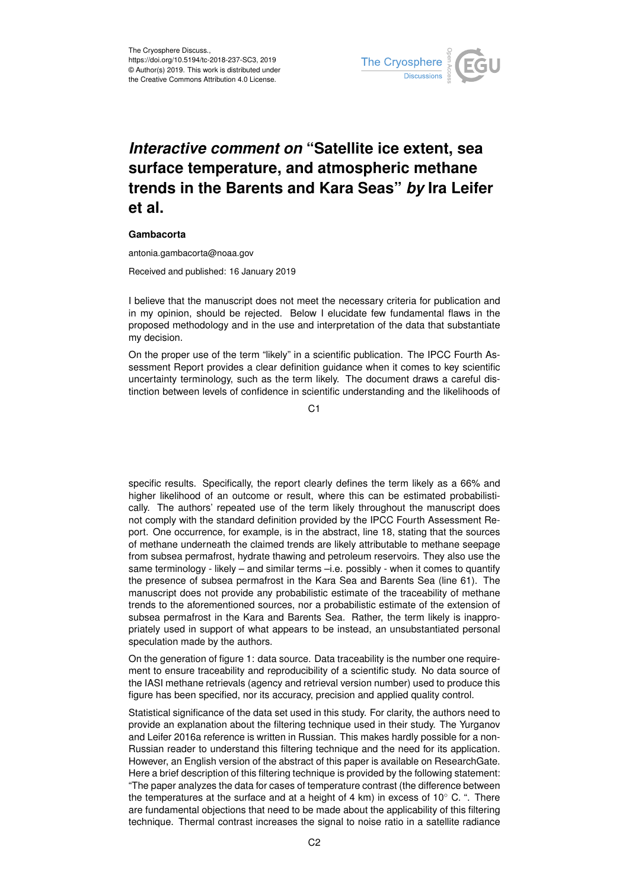

## *Interactive comment on* **"Satellite ice extent, sea surface temperature, and atmospheric methane trends in the Barents and Kara Seas"** *by* **Ira Leifer et al.**

## **Gambacorta**

antonia.gambacorta@noaa.gov

Received and published: 16 January 2019

I believe that the manuscript does not meet the necessary criteria for publication and in my opinion, should be rejected. Below I elucidate few fundamental flaws in the proposed methodology and in the use and interpretation of the data that substantiate my decision.

On the proper use of the term "likely" in a scientific publication. The IPCC Fourth Assessment Report provides a clear definition guidance when it comes to key scientific uncertainty terminology, such as the term likely. The document draws a careful distinction between levels of confidence in scientific understanding and the likelihoods of

C1

specific results. Specifically, the report clearly defines the term likely as a 66% and higher likelihood of an outcome or result, where this can be estimated probabilistically. The authors' repeated use of the term likely throughout the manuscript does not comply with the standard definition provided by the IPCC Fourth Assessment Report. One occurrence, for example, is in the abstract, line 18, stating that the sources of methane underneath the claimed trends are likely attributable to methane seepage from subsea permafrost, hydrate thawing and petroleum reservoirs. They also use the same terminology - likely – and similar terms –i.e. possibly - when it comes to quantify the presence of subsea permafrost in the Kara Sea and Barents Sea (line 61). The manuscript does not provide any probabilistic estimate of the traceability of methane trends to the aforementioned sources, nor a probabilistic estimate of the extension of subsea permafrost in the Kara and Barents Sea. Rather, the term likely is inappropriately used in support of what appears to be instead, an unsubstantiated personal speculation made by the authors.

On the generation of figure 1: data source. Data traceability is the number one requirement to ensure traceability and reproducibility of a scientific study. No data source of the IASI methane retrievals (agency and retrieval version number) used to produce this figure has been specified, nor its accuracy, precision and applied quality control.

Statistical significance of the data set used in this study. For clarity, the authors need to provide an explanation about the filtering technique used in their study. The Yurganov and Leifer 2016a reference is written in Russian. This makes hardly possible for a non-Russian reader to understand this filtering technique and the need for its application. However, an English version of the abstract of this paper is available on ResearchGate. Here a brief description of this filtering technique is provided by the following statement: "The paper analyzes the data for cases of temperature contrast (the difference between the temperatures at the surface and at a height of 4 km) in excess of 10 $^{\circ}$  C. ". There are fundamental objections that need to be made about the applicability of this filtering technique. Thermal contrast increases the signal to noise ratio in a satellite radiance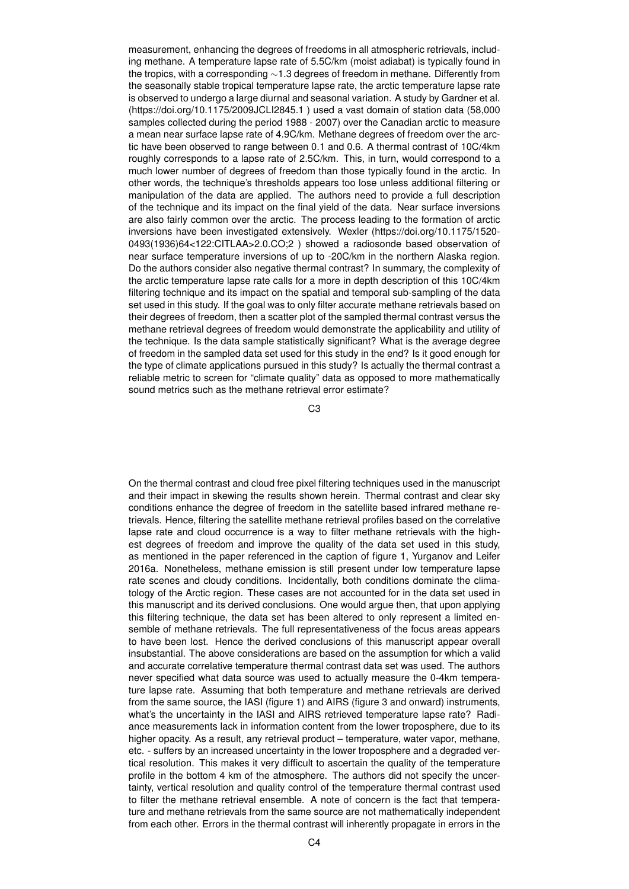measurement, enhancing the degrees of freedoms in all atmospheric retrievals, including methane. A temperature lapse rate of 5.5C/km (moist adiabat) is typically found in the tropics, with a corresponding ∼1.3 degrees of freedom in methane. Differently from the seasonally stable tropical temperature lapse rate, the arctic temperature lapse rate is observed to undergo a large diurnal and seasonal variation. A study by Gardner et al. (https://doi.org/10.1175/2009JCLI2845.1 ) used a vast domain of station data (58,000 samples collected during the period 1988 - 2007) over the Canadian arctic to measure a mean near surface lapse rate of 4.9C/km. Methane degrees of freedom over the arctic have been observed to range between 0.1 and 0.6. A thermal contrast of 10C/4km roughly corresponds to a lapse rate of 2.5C/km. This, in turn, would correspond to a much lower number of degrees of freedom than those typically found in the arctic. In other words, the technique's thresholds appears too lose unless additional filtering or manipulation of the data are applied. The authors need to provide a full description of the technique and its impact on the final yield of the data. Near surface inversions are also fairly common over the arctic. The process leading to the formation of arctic inversions have been investigated extensively. Wexler (https://doi.org/10.1175/1520- 0493(1936)64<122:CITLAA>2.0.CO;2 ) showed a radiosonde based observation of near surface temperature inversions of up to -20C/km in the northern Alaska region. Do the authors consider also negative thermal contrast? In summary, the complexity of the arctic temperature lapse rate calls for a more in depth description of this 10C/4km filtering technique and its impact on the spatial and temporal sub-sampling of the data set used in this study. If the goal was to only filter accurate methane retrievals based on their degrees of freedom, then a scatter plot of the sampled thermal contrast versus the methane retrieval degrees of freedom would demonstrate the applicability and utility of the technique. Is the data sample statistically significant? What is the average degree of freedom in the sampled data set used for this study in the end? Is it good enough for the type of climate applications pursued in this study? Is actually the thermal contrast a reliable metric to screen for "climate quality" data as opposed to more mathematically sound metrics such as the methane retrieval error estimate?

C3

On the thermal contrast and cloud free pixel filtering techniques used in the manuscript and their impact in skewing the results shown herein. Thermal contrast and clear sky conditions enhance the degree of freedom in the satellite based infrared methane retrievals. Hence, filtering the satellite methane retrieval profiles based on the correlative lapse rate and cloud occurrence is a way to filter methane retrievals with the highest degrees of freedom and improve the quality of the data set used in this study, as mentioned in the paper referenced in the caption of figure 1, Yurganov and Leifer 2016a. Nonetheless, methane emission is still present under low temperature lapse rate scenes and cloudy conditions. Incidentally, both conditions dominate the climatology of the Arctic region. These cases are not accounted for in the data set used in this manuscript and its derived conclusions. One would argue then, that upon applying this filtering technique, the data set has been altered to only represent a limited ensemble of methane retrievals. The full representativeness of the focus areas appears to have been lost. Hence the derived conclusions of this manuscript appear overall insubstantial. The above considerations are based on the assumption for which a valid and accurate correlative temperature thermal contrast data set was used. The authors never specified what data source was used to actually measure the 0-4km temperature lapse rate. Assuming that both temperature and methane retrievals are derived from the same source, the IASI (figure 1) and AIRS (figure 3 and onward) instruments, what's the uncertainty in the IASI and AIRS retrieved temperature lapse rate? Radiance measurements lack in information content from the lower troposphere, due to its higher opacity. As a result, any retrieval product – temperature, water vapor, methane, etc. - suffers by an increased uncertainty in the lower troposphere and a degraded vertical resolution. This makes it very difficult to ascertain the quality of the temperature profile in the bottom 4 km of the atmosphere. The authors did not specify the uncertainty, vertical resolution and quality control of the temperature thermal contrast used to filter the methane retrieval ensemble. A note of concern is the fact that temperature and methane retrievals from the same source are not mathematically independent from each other. Errors in the thermal contrast will inherently propagate in errors in the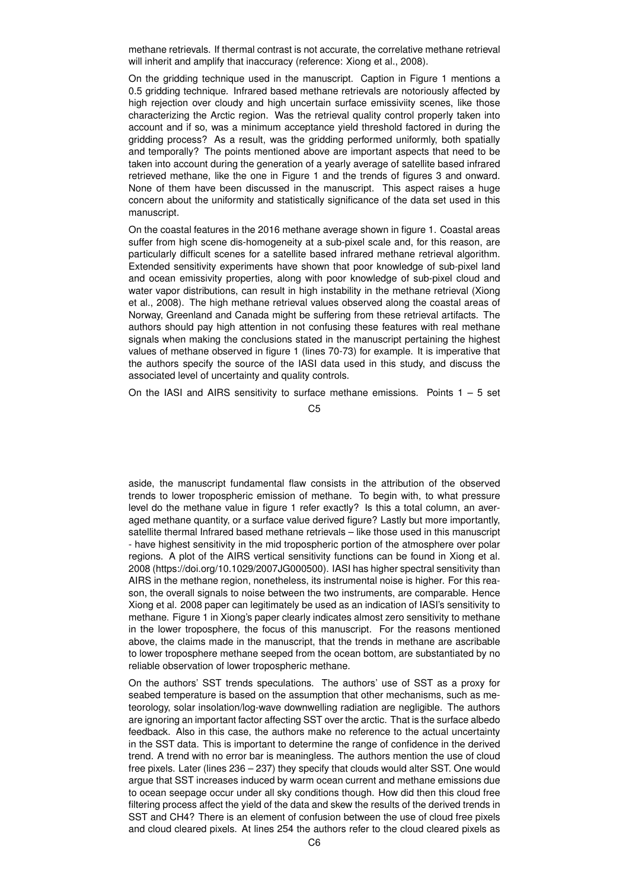methane retrievals. If thermal contrast is not accurate, the correlative methane retrieval will inherit and amplify that inaccuracy (reference: Xiong et al., 2008).

On the gridding technique used in the manuscript. Caption in Figure 1 mentions a 0.5 gridding technique. Infrared based methane retrievals are notoriously affected by high rejection over cloudy and high uncertain surface emissiviity scenes, like those characterizing the Arctic region. Was the retrieval quality control properly taken into account and if so, was a minimum acceptance yield threshold factored in during the gridding process? As a result, was the gridding performed uniformly, both spatially and temporally? The points mentioned above are important aspects that need to be taken into account during the generation of a yearly average of satellite based infrared retrieved methane, like the one in Figure 1 and the trends of figures 3 and onward. None of them have been discussed in the manuscript. This aspect raises a huge concern about the uniformity and statistically significance of the data set used in this manuscript.

On the coastal features in the 2016 methane average shown in figure 1. Coastal areas suffer from high scene dis-homogeneity at a sub-pixel scale and, for this reason, are particularly difficult scenes for a satellite based infrared methane retrieval algorithm. Extended sensitivity experiments have shown that poor knowledge of sub-pixel land and ocean emissivity properties, along with poor knowledge of sub-pixel cloud and water vapor distributions, can result in high instability in the methane retrieval (Xiong et al., 2008). The high methane retrieval values observed along the coastal areas of Norway, Greenland and Canada might be suffering from these retrieval artifacts. The authors should pay high attention in not confusing these features with real methane signals when making the conclusions stated in the manuscript pertaining the highest values of methane observed in figure 1 (lines 70-73) for example. It is imperative that the authors specify the source of the IASI data used in this study, and discuss the associated level of uncertainty and quality controls.

On the IASI and AIRS sensitivity to surface methane emissions. Points  $1 - 5$  set

C5

aside, the manuscript fundamental flaw consists in the attribution of the observed trends to lower tropospheric emission of methane. To begin with, to what pressure level do the methane value in figure 1 refer exactly? Is this a total column, an averaged methane quantity, or a surface value derived figure? Lastly but more importantly, satellite thermal Infrared based methane retrievals – like those used in this manuscript - have highest sensitivity in the mid tropospheric portion of the atmosphere over polar regions. A plot of the AIRS vertical sensitivity functions can be found in Xiong et al. 2008 (https://doi.org/10.1029/2007JG000500). IASI has higher spectral sensitivity than AIRS in the methane region, nonetheless, its instrumental noise is higher. For this reason, the overall signals to noise between the two instruments, are comparable. Hence Xiong et al. 2008 paper can legitimately be used as an indication of IASI's sensitivity to methane. Figure 1 in Xiong's paper clearly indicates almost zero sensitivity to methane in the lower troposphere, the focus of this manuscript. For the reasons mentioned above, the claims made in the manuscript, that the trends in methane are ascribable to lower troposphere methane seeped from the ocean bottom, are substantiated by no reliable observation of lower tropospheric methane.

On the authors' SST trends speculations. The authors' use of SST as a proxy for seabed temperature is based on the assumption that other mechanisms, such as meteorology, solar insolation/log-wave downwelling radiation are negligible. The authors are ignoring an important factor affecting SST over the arctic. That is the surface albedo feedback. Also in this case, the authors make no reference to the actual uncertainty in the SST data. This is important to determine the range of confidence in the derived trend. A trend with no error bar is meaningless. The authors mention the use of cloud free pixels. Later (lines 236 – 237) they specify that clouds would alter SST. One would argue that SST increases induced by warm ocean current and methane emissions due to ocean seepage occur under all sky conditions though. How did then this cloud free filtering process affect the yield of the data and skew the results of the derived trends in SST and CH4? There is an element of confusion between the use of cloud free pixels and cloud cleared pixels. At lines 254 the authors refer to the cloud cleared pixels as